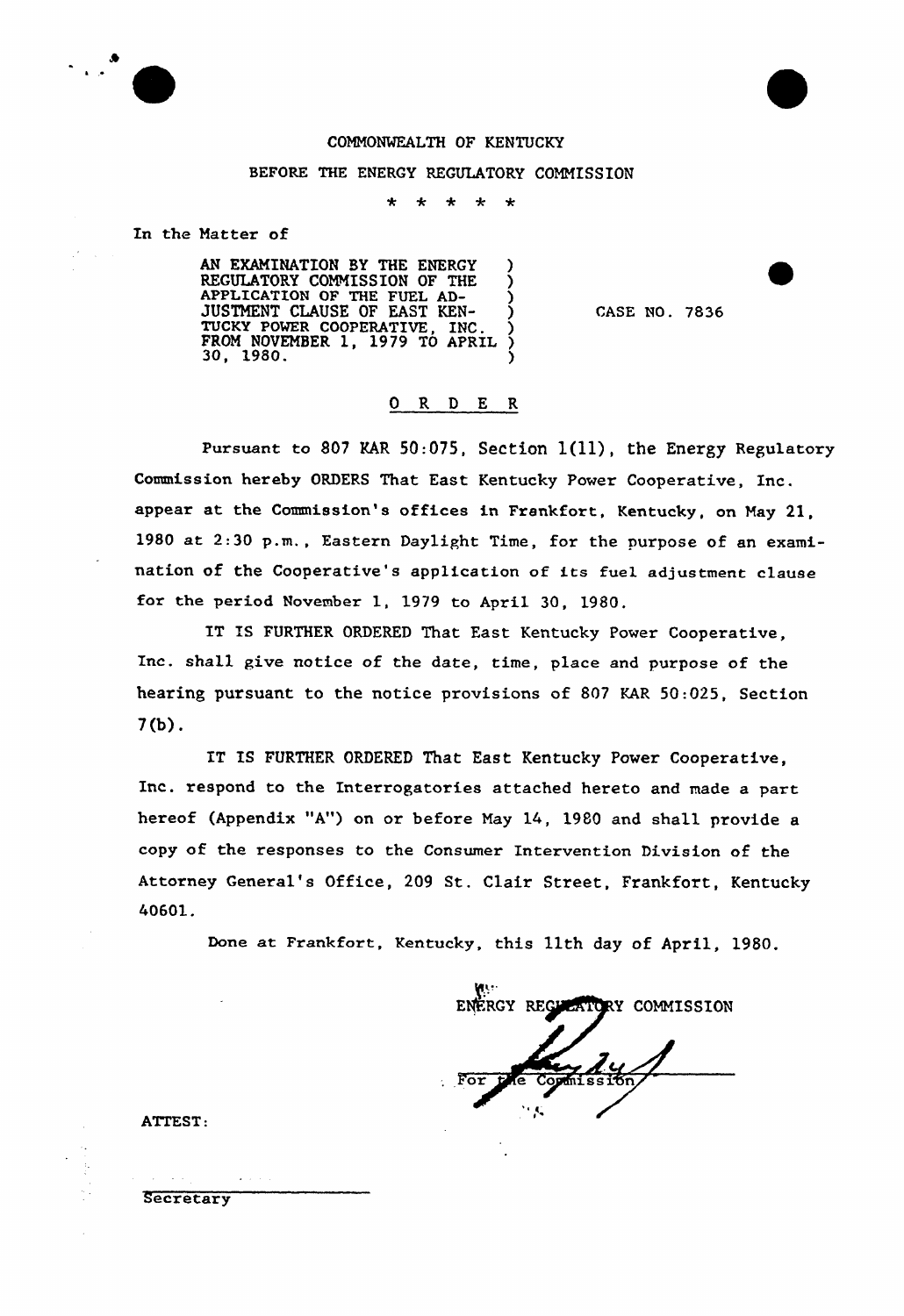

## COMMONWEALTH OF KENTUCKY

## BEFORE THE ENERGY REGULATORY COMMISSION

 $\star$  $\star$  $\star$  $\star$ 

In the Matter of

AN EXAMINATION BY THE ENERGY ) REGULATORY COMMISSION OF THE ) APPLICATION OF THE FUEL AD-JUSTMENT CLAUSE OF EAST KEN-TUCKY POWER COOPERATIVE, INC.  $\left\{\begin{array}{cc} 5 \ 2 \ 1 \ 0 \ 0 \end{array}\right\}$ FROM NOVEMBER 1, 1979 TO APRIL ?  $30, 1980.$  )

CASE NO. 7836

## 0 R <sup>D</sup> E R

Pursuant to 807 KAR 50:075, Section  $1(11)$ , the Energy Regulatory Commission hereby ORDERS That East Kentucky Power Cooperative, Inc. appear at the Commission's offices in Frankfort, Kentucky, on May 21, 1980 at 2:30 p.m., Eastern Daylight Time, for the purpose of an examination of the Cooperative's application of its fuel adjustment clause for the period November 1, 1979 to April 30, 1980.

IT IS FURTHER ORDERED That East Kentucky Power Cooperative, Inc. shall give notice of the date, time, place and purpose of the hearing pursuant to the notice provisions of 807 KAR 50:025, Section 7{b).

IT IS FURTHER ORDERED That East Kentucky Power Cooperative, Inc. respond to the Interrogatories attached hereto and made a part hereof (Appendix "A") on or before May 14, 1980 and shall provide a copy of the responses to the Consumer Intervention Division of the Attorney General's Office, 209 St. Clair Street, Frankfort, Kentucky 40601.

Done at Frankfort, Kentucky, this 11th day of April, 1980.

ENERGY REGULATORY COMMISSION  $F_{\Omega}$  $Commesim$ 

ATTEST:

 $\mathcal{A}=\mathcal{A}$  .

**Secretary**